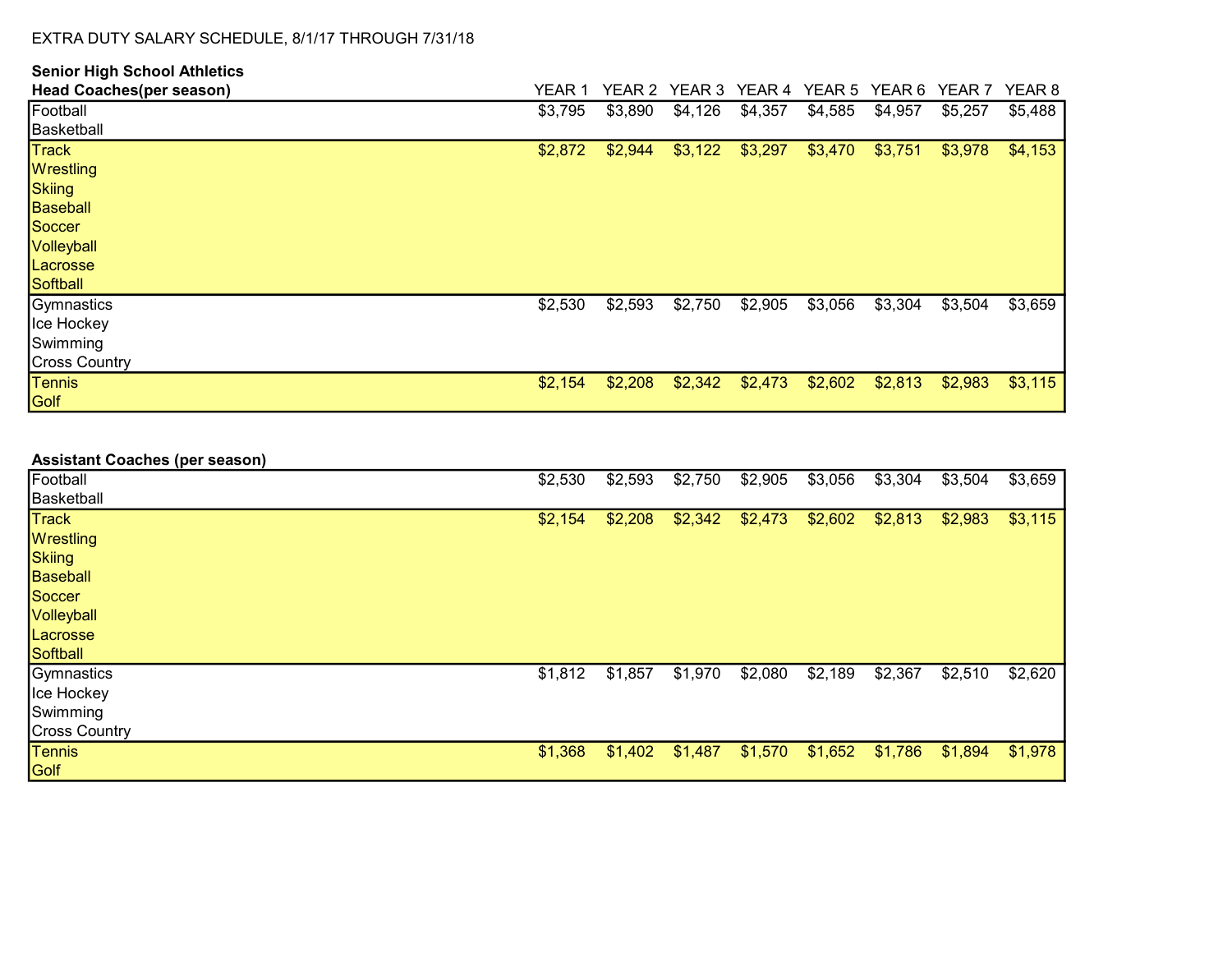| <b>Senior High School Athletics</b> |         |         |         |         |         |         |                   |                   |
|-------------------------------------|---------|---------|---------|---------|---------|---------|-------------------|-------------------|
| <b>Head Coaches(per season)</b>     | YEAR 1  | YEAR 2  | YEAR 3  | YEAR 4  | YEAR 5  | YEAR 6  | YEAR <sub>7</sub> | YEAR <sub>8</sub> |
| Football                            | \$3,795 | \$3,890 | \$4,126 | \$4,357 | \$4,585 | \$4,957 | \$5,257           | \$5,488           |
| Basketball                          |         |         |         |         |         |         |                   |                   |
| <b>Track</b>                        | \$2,872 | \$2,944 | \$3,122 | \$3,297 | \$3,470 | \$3,751 | \$3,978           | \$4,153           |
| Wrestling                           |         |         |         |         |         |         |                   |                   |
| Skiing                              |         |         |         |         |         |         |                   |                   |
| Baseball                            |         |         |         |         |         |         |                   |                   |
| Soccer                              |         |         |         |         |         |         |                   |                   |
| Volleyball                          |         |         |         |         |         |         |                   |                   |
| Lacrosse                            |         |         |         |         |         |         |                   |                   |
| Softball                            |         |         |         |         |         |         |                   |                   |
| Gymnastics                          | \$2,530 | \$2,593 | \$2,750 | \$2,905 | \$3,056 | \$3,304 | \$3,504           | \$3,659           |
| Ice Hockey                          |         |         |         |         |         |         |                   |                   |
| Swimming                            |         |         |         |         |         |         |                   |                   |
| <b>Cross Country</b>                |         |         |         |         |         |         |                   |                   |
| Tennis                              | \$2,154 | \$2,208 | \$2,342 | \$2,473 | \$2,602 | \$2,813 | \$2,983           | \$3,115           |
| Golf                                |         |         |         |         |         |         |                   |                   |

| \$2,530 | \$2,593 | \$2,750 | \$2,905 | \$3,056 | \$3,304 | \$3,504 | \$3,659 |
|---------|---------|---------|---------|---------|---------|---------|---------|
|         |         |         |         |         |         |         |         |
| \$2,154 | \$2,208 | \$2,342 | \$2,473 | \$2,602 | \$2,813 | \$2,983 | \$3,115 |
|         |         |         |         |         |         |         |         |
|         |         |         |         |         |         |         |         |
|         |         |         |         |         |         |         |         |
|         |         |         |         |         |         |         |         |
|         |         |         |         |         |         |         |         |
|         |         |         |         |         |         |         |         |
|         |         |         |         |         |         |         |         |
| \$1,812 | \$1,857 | \$1,970 | \$2,080 | \$2,189 | \$2,367 | \$2,510 | \$2,620 |
|         |         |         |         |         |         |         |         |
|         |         |         |         |         |         |         |         |
|         |         |         |         |         |         |         |         |
| \$1,368 | \$1,402 | \$1,487 | \$1,570 | \$1,652 | \$1,786 | \$1,894 | \$1,978 |
|         |         |         |         |         |         |         |         |
|         |         |         |         |         |         |         |         |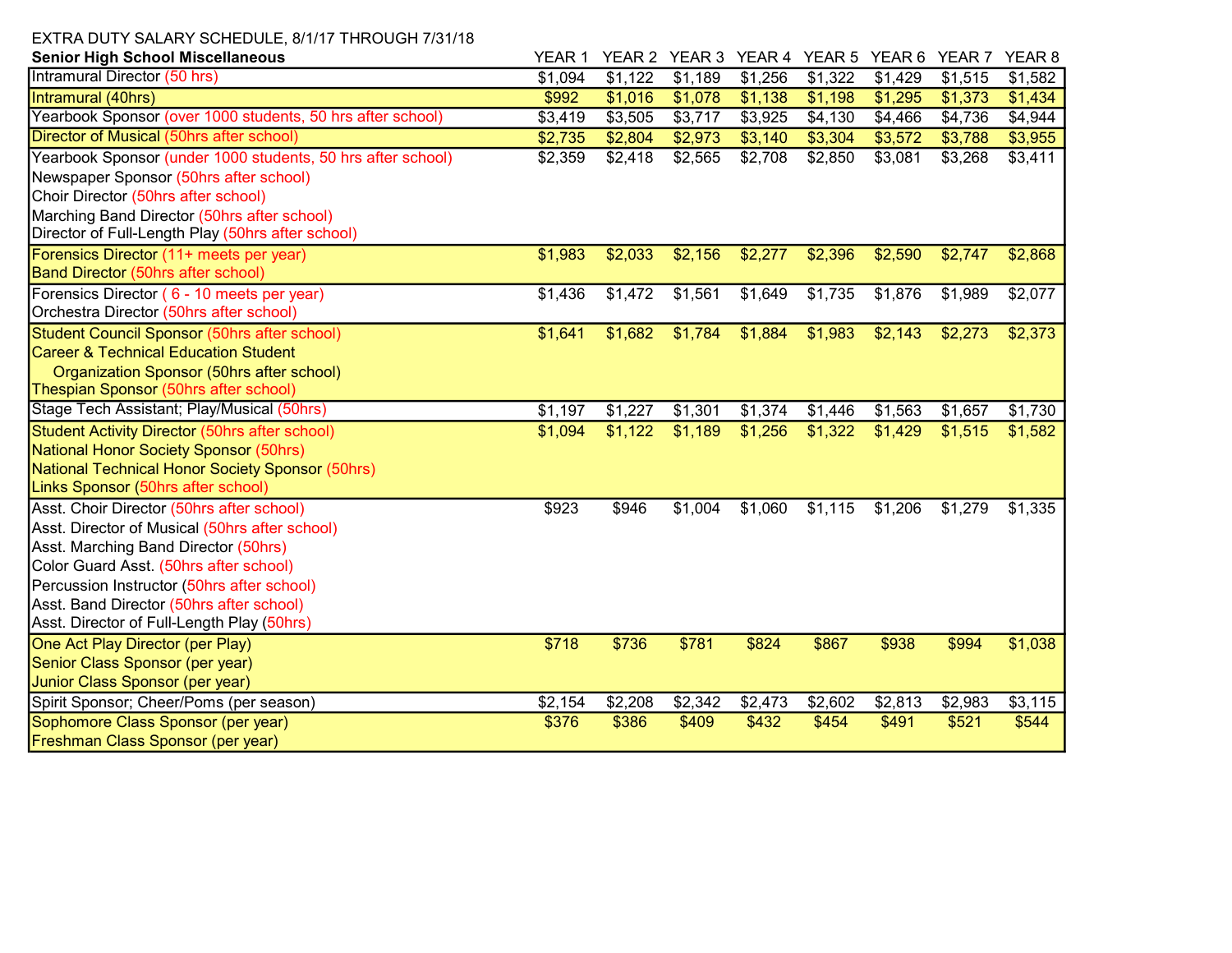| <b>Senior High School Miscellaneous</b>                     | YEAR 1  |         | YEAR 2 YEAR 3 | YEAR 4 YEAR 5 YEAR 6 |         |         | YEAR <sub>7</sub> | YEAR <sub>8</sub>   |
|-------------------------------------------------------------|---------|---------|---------------|----------------------|---------|---------|-------------------|---------------------|
| Intramural Director (50 hrs)                                | \$1,094 | \$1,122 | \$1,189       | \$1,256              | \$1,322 | \$1,429 | \$1,515           | $\overline{$}1,582$ |
| Intramural (40hrs)                                          | \$992   | \$1,016 | \$1,078       | \$1,138              | \$1,198 | \$1,295 | \$1,373           | \$1,434             |
| Yearbook Sponsor (over 1000 students, 50 hrs after school)  | \$3,419 | \$3,505 | \$3,717       | \$3,925              | \$4,130 | \$4,466 | \$4,736           | \$4,944             |
| Director of Musical (50hrs after school)                    | \$2,735 | \$2,804 | \$2,973       | \$3,140              | \$3,304 | \$3,572 | \$3,788           | \$3,955             |
| Yearbook Sponsor (under 1000 students, 50 hrs after school) | \$2,359 | \$2,418 | \$2,565       | \$2,708              | \$2,850 | \$3,081 | \$3,268           | \$3,411             |
| Newspaper Sponsor (50hrs after school)                      |         |         |               |                      |         |         |                   |                     |
| Choir Director (50hrs after school)                         |         |         |               |                      |         |         |                   |                     |
| Marching Band Director (50hrs after school)                 |         |         |               |                      |         |         |                   |                     |
| Director of Full-Length Play (50hrs after school)           |         |         |               |                      |         |         |                   |                     |
| Forensics Director (11+ meets per year)                     | \$1,983 | \$2,033 | \$2,156       | \$2,277              | \$2,396 | \$2,590 | \$2,747           | \$2,868             |
| <b>Band Director (50hrs after school)</b>                   |         |         |               |                      |         |         |                   |                     |
| Forensics Director (6 - 10 meets per year)                  | \$1,436 | \$1,472 | \$1,561       | \$1,649              | \$1,735 | \$1,876 | \$1,989           | \$2,077             |
| Orchestra Director (50hrs after school)                     |         |         |               |                      |         |         |                   |                     |
| Student Council Sponsor (50hrs after school)                | \$1,641 | \$1,682 | \$1,784       | \$1,884              | \$1,983 | \$2,143 | \$2,273           | \$2,373             |
| <b>Career &amp; Technical Education Student</b>             |         |         |               |                      |         |         |                   |                     |
| Organization Sponsor (50hrs after school)                   |         |         |               |                      |         |         |                   |                     |
| Thespian Sponsor (50hrs after school)                       |         |         |               |                      |         |         |                   |                     |
| Stage Tech Assistant; Play/Musical (50hrs)                  | \$1,197 | \$1,227 | \$1,301       | \$1,374              | \$1,446 | \$1,563 | \$1,657           | \$1,730             |
| Student Activity Director (50hrs after school)              | \$1,094 | \$1,122 | \$1,189       | \$1,256              | \$1,322 | \$1,429 | \$1,515           | \$1,582             |
| National Honor Society Sponsor (50hrs)                      |         |         |               |                      |         |         |                   |                     |
| National Technical Honor Society Sponsor (50hrs)            |         |         |               |                      |         |         |                   |                     |
| Links Sponsor (50hrs after school)                          |         |         |               |                      |         |         |                   |                     |
| Asst. Choir Director (50hrs after school)                   | \$923   | \$946   | \$1,004       | \$1,060              | \$1,115 | \$1,206 | \$1,279           | $\overline{$}1,335$ |
| Asst. Director of Musical (50hrs after school)              |         |         |               |                      |         |         |                   |                     |
| Asst. Marching Band Director (50hrs)                        |         |         |               |                      |         |         |                   |                     |
| Color Guard Asst. (50hrs after school)                      |         |         |               |                      |         |         |                   |                     |
| Percussion Instructor (50hrs after school)                  |         |         |               |                      |         |         |                   |                     |
| Asst. Band Director (50hrs after school)                    |         |         |               |                      |         |         |                   |                     |
| Asst. Director of Full-Length Play (50hrs)                  |         |         |               |                      |         |         |                   |                     |
| One Act Play Director (per Play)                            | \$718   | \$736   | \$781         | \$824                | \$867   | \$938   | \$994             | \$1,038             |
| Senior Class Sponsor (per year)                             |         |         |               |                      |         |         |                   |                     |
| Junior Class Sponsor (per year)                             |         |         |               |                      |         |         |                   |                     |
| Spirit Sponsor; Cheer/Poms (per season)                     | \$2,154 | \$2,208 | \$2,342       | \$2,473              | \$2,602 | \$2,813 | \$2,983           | \$3,115             |
| Sophomore Class Sponsor (per year)                          | \$376   | \$386   | \$409         | \$432                | \$454   | \$491   | \$521             | \$544               |
| <b>Freshman Class Sponsor (per year)</b>                    |         |         |               |                      |         |         |                   |                     |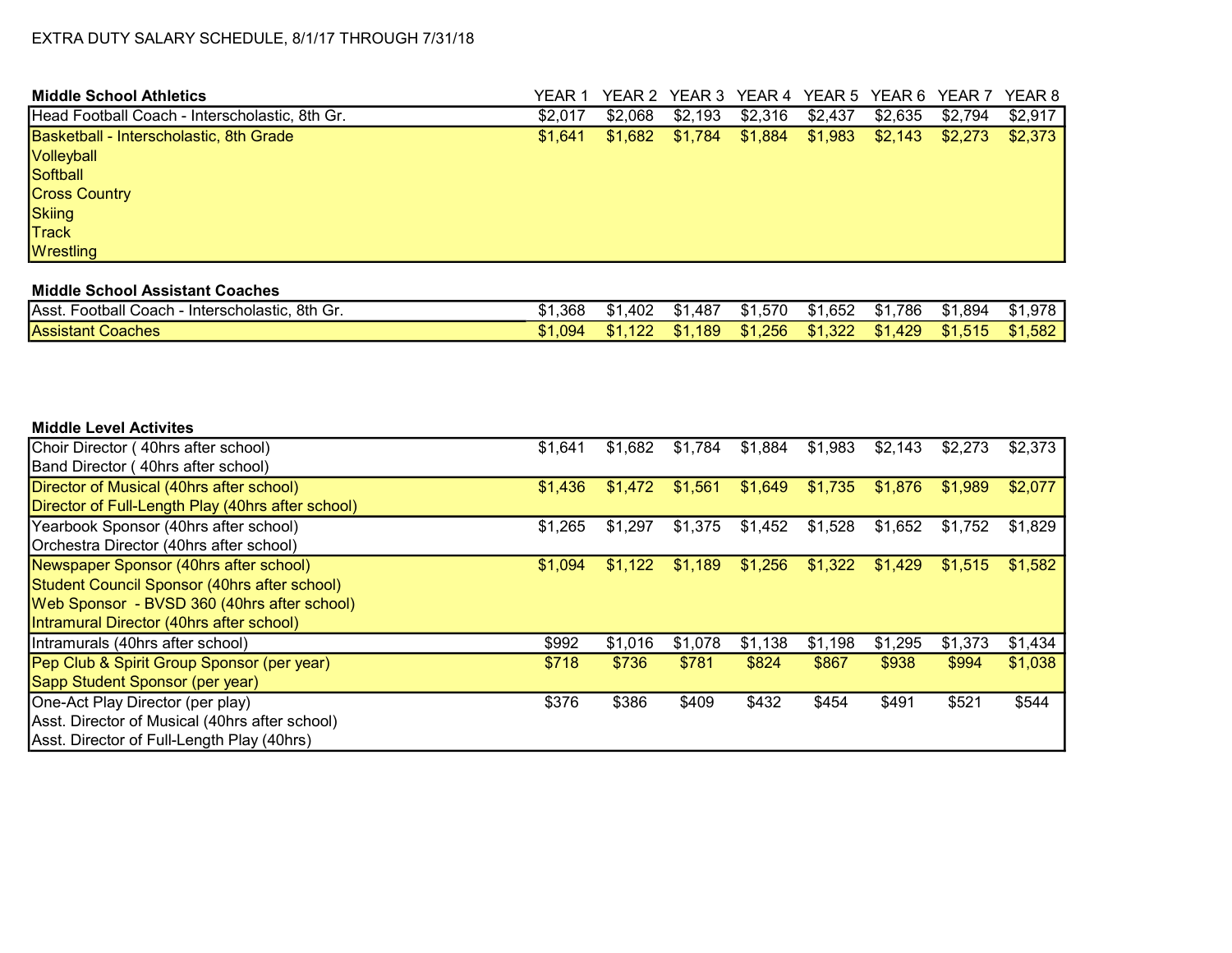| <b>Middle School Athletics</b>                 | YEAR 1  |         | YEAR 2 YEAR 3 YEAR 4 YEAR 5 YEAR 6 YEAR 7 |         |         |         |         | YEAR 8  |
|------------------------------------------------|---------|---------|-------------------------------------------|---------|---------|---------|---------|---------|
| Head Football Coach - Interscholastic, 8th Gr. | \$2,017 | \$2,068 | \$2,193                                   | \$2,316 | \$2,437 | \$2,635 | \$2,794 | \$2,917 |
| Basketball - Interscholastic, 8th Grade        | \$1.641 | \$1,682 | \$1,784                                   | \$1,884 | \$1,983 | \$2,143 | \$2,273 | \$2,373 |
| Volleyball                                     |         |         |                                           |         |         |         |         |         |
| Softball                                       |         |         |                                           |         |         |         |         |         |
| <b>Cross Country</b>                           |         |         |                                           |         |         |         |         |         |
| Skiing                                         |         |         |                                           |         |         |         |         |         |
| <b>Track</b>                                   |         |         |                                           |         |         |         |         |         |
| <b>Wrestling</b>                               |         |         |                                           |         |         |         |         |         |

### Middle School Assistant Coaches

| Asst.<br>8th Gr.<br><sup>-</sup> ootball<br>Coach - Interscholastic. | 1,368    | .402<br>- D- I - | .487<br>\$1 | \$1,570 | .652<br>AD I | 786<br>\$1. | \$1,894 | \$1,978 |
|----------------------------------------------------------------------|----------|------------------|-------------|---------|--------------|-------------|---------|---------|
| Assistant<br>Coaches                                                 | $-1.094$ | 122              | 189<br>\$1  | \$1,256 | 1,322<br>\$1 | \$1,429     | \$1,515 | \$1,582 |

#### Middle Level Activites

| Choir Director (40hrs after school)               | \$1,641 | \$1,682 | \$1,784 | \$1,884 | \$1,983 | \$2,143 | \$2,273 | \$2,373 |
|---------------------------------------------------|---------|---------|---------|---------|---------|---------|---------|---------|
| Band Director (40hrs after school)                |         |         |         |         |         |         |         |         |
| Director of Musical (40hrs after school)          | \$1,436 | \$1.472 | \$1,561 | \$1,649 | \$1,735 | \$1,876 | \$1.989 | \$2,077 |
| Director of Full-Length Play (40hrs after school) |         |         |         |         |         |         |         |         |
| Yearbook Sponsor (40hrs after school)             | \$1,265 | \$1,297 | \$1,375 | \$1,452 | \$1,528 | \$1,652 | \$1,752 | \$1,829 |
| Orchestra Director (40hrs after school)           |         |         |         |         |         |         |         |         |
| Newspaper Sponsor (40hrs after school)            | \$1,094 | \$1,122 | \$1,189 | \$1,256 | \$1,322 | \$1,429 | \$1,515 | \$1,582 |
| Student Council Sponsor (40hrs after school)      |         |         |         |         |         |         |         |         |
| Web Sponsor - BVSD 360 (40hrs after school)       |         |         |         |         |         |         |         |         |
| Intramural Director (40hrs after school)          |         |         |         |         |         |         |         |         |
| Intramurals (40hrs after school)                  | \$992   | \$1,016 | \$1,078 | \$1,138 | \$1,198 | \$1,295 | \$1,373 | \$1,434 |
| Pep Club & Spirit Group Sponsor (per year)        | \$718   | \$736   | \$781   | \$824   | \$867   | \$938   | \$994   | \$1,038 |
| Sapp Student Sponsor (per year)                   |         |         |         |         |         |         |         |         |
| One-Act Play Director (per play)                  | \$376   | \$386   | \$409   | \$432   | \$454   | \$491   | \$521   | \$544   |
| Asst. Director of Musical (40hrs after school)    |         |         |         |         |         |         |         |         |
| Asst. Director of Full-Length Play (40hrs)        |         |         |         |         |         |         |         |         |